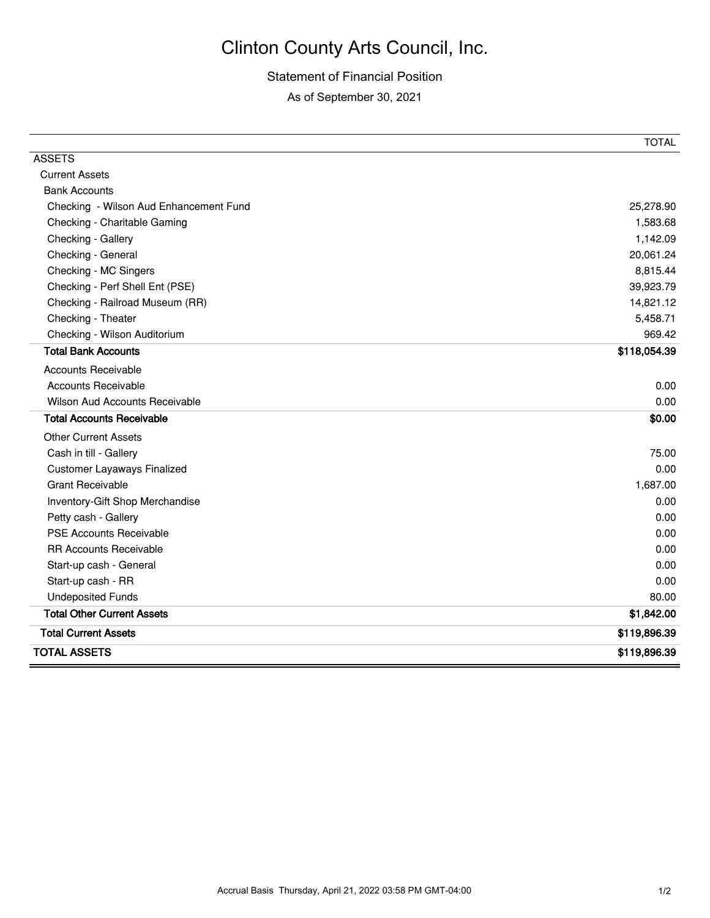## Clinton County Arts Council, Inc.

## Statement of Financial Position

As of September 30, 2021

|                                        | <b>TOTAL</b> |
|----------------------------------------|--------------|
| <b>ASSETS</b>                          |              |
| <b>Current Assets</b>                  |              |
| <b>Bank Accounts</b>                   |              |
| Checking - Wilson Aud Enhancement Fund | 25,278.90    |
| Checking - Charitable Gaming           | 1,583.68     |
| Checking - Gallery                     | 1,142.09     |
| Checking - General                     | 20,061.24    |
| Checking - MC Singers                  | 8,815.44     |
| Checking - Perf Shell Ent (PSE)        | 39,923.79    |
| Checking - Railroad Museum (RR)        | 14,821.12    |
| Checking - Theater                     | 5,458.71     |
| Checking - Wilson Auditorium           | 969.42       |
| <b>Total Bank Accounts</b>             | \$118,054.39 |
| <b>Accounts Receivable</b>             |              |
| Accounts Receivable                    | 0.00         |
| <b>Wilson Aud Accounts Receivable</b>  | 0.00         |
| <b>Total Accounts Receivable</b>       | \$0.00       |
| <b>Other Current Assets</b>            |              |
| Cash in till - Gallery                 | 75.00        |
| <b>Customer Layaways Finalized</b>     | 0.00         |
| <b>Grant Receivable</b>                | 1,687.00     |
| Inventory-Gift Shop Merchandise        | 0.00         |
| Petty cash - Gallery                   | 0.00         |
| <b>PSE Accounts Receivable</b>         | 0.00         |
| <b>RR Accounts Receivable</b>          | 0.00         |
| Start-up cash - General                | 0.00         |
| Start-up cash - RR                     | 0.00         |
| <b>Undeposited Funds</b>               | 80.00        |
| <b>Total Other Current Assets</b>      | \$1,842.00   |
| <b>Total Current Assets</b>            | \$119,896.39 |
| <b>TOTAL ASSETS</b>                    | \$119,896.39 |